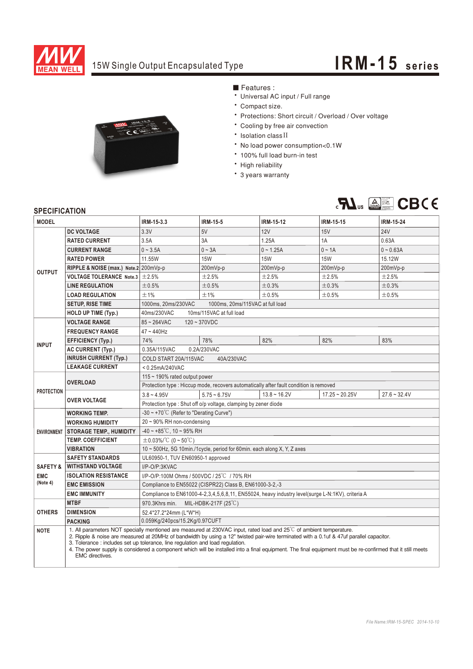

# 15W Single Output Encapsulated Type **IRM-15 series**



### ■ Features :

- Universal AC input / Full range
- Compact size.
- \* Protections: Short circuit / Overload / Over voltage
- \* Cooling by free air convection
- Isolation class II
- No load power consumption<0.1W
- \* 100% full load burn-in test
- High reliability
- \* 3 years warranty



### **SPECIFICATION**

| <b>MODEL</b>           |                                                                                                                                                                                                                                                                                                                                                                                                                                                                                                                                          | IRM-15-3.3                                                                                       | <b>IRM-15-5</b> | <b>IRM-15-12</b> | <b>IRM-15-15</b> | <b>IRM-15-24</b> |
|------------------------|------------------------------------------------------------------------------------------------------------------------------------------------------------------------------------------------------------------------------------------------------------------------------------------------------------------------------------------------------------------------------------------------------------------------------------------------------------------------------------------------------------------------------------------|--------------------------------------------------------------------------------------------------|-----------------|------------------|------------------|------------------|
| <b>OUTPUT</b>          | <b>DC VOLTAGE</b>                                                                                                                                                                                                                                                                                                                                                                                                                                                                                                                        | 3.3V                                                                                             | 5V              | 12V              | <b>15V</b>       | <b>24V</b>       |
|                        | <b>RATED CURRENT</b>                                                                                                                                                                                                                                                                                                                                                                                                                                                                                                                     | 3.5A                                                                                             | 3A              | 1.25A            | 1A               | 0.63A            |
|                        | <b>CURRENT RANGE</b>                                                                                                                                                                                                                                                                                                                                                                                                                                                                                                                     | $0 - 3.5A$                                                                                       | $0 - 3A$        | $0 - 1.25A$      | $0 \sim 1A$      | $0 - 0.63A$      |
|                        | <b>RATED POWER</b>                                                                                                                                                                                                                                                                                                                                                                                                                                                                                                                       | 11.55W                                                                                           | <b>15W</b>      | <b>15W</b>       | <b>15W</b>       | 15.12W           |
|                        | RIPPLE & NOISE (max.) Note.2 200mVp-p                                                                                                                                                                                                                                                                                                                                                                                                                                                                                                    |                                                                                                  | 200mVp-p        | 200mVp-p         | 200mVp-p         | 200mVp-p         |
|                        | <b>VOLTAGE TOLERANCE Note.3</b>                                                                                                                                                                                                                                                                                                                                                                                                                                                                                                          | ±2.5%                                                                                            | ±2.5%           | ±2.5%            | ±2.5%            | ±2.5%            |
|                        | <b>LINE REGULATION</b>                                                                                                                                                                                                                                                                                                                                                                                                                                                                                                                   | ±0.5%                                                                                            | ±0.5%           | ±0.3%            | ±0.3%            | ±0.3%            |
|                        | <b>LOAD REGULATION</b>                                                                                                                                                                                                                                                                                                                                                                                                                                                                                                                   | ±1%                                                                                              | ±1%             | ±0.5%            | ±0.5%            | ±0.5%            |
|                        | <b>SETUP, RISE TIME</b>                                                                                                                                                                                                                                                                                                                                                                                                                                                                                                                  | 1000ms, 20ms/230VAC<br>1000ms, 20ms/115VAC at full load                                          |                 |                  |                  |                  |
|                        | <b>HOLD UP TIME (Typ.)</b>                                                                                                                                                                                                                                                                                                                                                                                                                                                                                                               | 10ms/115VAC at full load<br>40ms/230VAC                                                          |                 |                  |                  |                  |
| <b>INPUT</b>           | <b>VOLTAGE RANGE</b>                                                                                                                                                                                                                                                                                                                                                                                                                                                                                                                     | $85 - 264$ VAC<br>$120 - 370VDC$                                                                 |                 |                  |                  |                  |
|                        | <b>FREQUENCY RANGE</b>                                                                                                                                                                                                                                                                                                                                                                                                                                                                                                                   | $47 - 440$ Hz                                                                                    |                 |                  |                  |                  |
|                        | <b>EFFICIENCY (Typ.)</b>                                                                                                                                                                                                                                                                                                                                                                                                                                                                                                                 | 74%                                                                                              | 78%             | 82%              | 82%              | 83%              |
|                        | <b>AC CURRENT (Typ.)</b>                                                                                                                                                                                                                                                                                                                                                                                                                                                                                                                 | 0.2A/230VAC<br>0.35A/115VAC                                                                      |                 |                  |                  |                  |
|                        | <b>INRUSH CURRENT (Typ.)</b>                                                                                                                                                                                                                                                                                                                                                                                                                                                                                                             | 40A/230VAC<br>COLD START 20A/115VAC                                                              |                 |                  |                  |                  |
|                        | <b>LEAKAGE CURRENT</b>                                                                                                                                                                                                                                                                                                                                                                                                                                                                                                                   | $< 0.25$ mA/240VAC                                                                               |                 |                  |                  |                  |
| <b>PROTECTION</b>      |                                                                                                                                                                                                                                                                                                                                                                                                                                                                                                                                          | 115 $\sim$ 190% rated output power                                                               |                 |                  |                  |                  |
|                        | <b>OVERLOAD</b>                                                                                                                                                                                                                                                                                                                                                                                                                                                                                                                          | Protection type : Hiccup mode, recovers automatically after fault condition is removed           |                 |                  |                  |                  |
|                        | <b>OVER VOLTAGE</b>                                                                                                                                                                                                                                                                                                                                                                                                                                                                                                                      | $3.8 - 4.95V$                                                                                    | $5.75 - 6.75V$  | $13.8 - 16.2V$   | $17.25 - 20.25V$ | $27.6 - 32.4V$   |
|                        |                                                                                                                                                                                                                                                                                                                                                                                                                                                                                                                                          | Protection type: Shut off o/p voltage, clamping by zener diode                                   |                 |                  |                  |                  |
|                        | <b>WORKING TEMP.</b>                                                                                                                                                                                                                                                                                                                                                                                                                                                                                                                     | -30 ~ +70 $^{\circ}$ C (Refer to "Derating Curve")                                               |                 |                  |                  |                  |
|                        | <b>WORKING HUMIDITY</b>                                                                                                                                                                                                                                                                                                                                                                                                                                                                                                                  | $20 \sim 90\%$ RH non-condensing                                                                 |                 |                  |                  |                  |
|                        | <b>ENVIRONMENT STORAGE TEMP., HUMIDITY</b>                                                                                                                                                                                                                                                                                                                                                                                                                                                                                               | $-40 \sim +85^{\circ}$ C, 10 ~ 95% RH                                                            |                 |                  |                  |                  |
|                        | <b>TEMP. COEFFICIENT</b>                                                                                                                                                                                                                                                                                                                                                                                                                                                                                                                 | $\pm$ 0.03%/°C (0~50°C)                                                                          |                 |                  |                  |                  |
|                        | <b>VIBRATION</b>                                                                                                                                                                                                                                                                                                                                                                                                                                                                                                                         | 10 ~ 500Hz, 5G 10min./1cycle, period for 60min. each along X, Y, Z axes                          |                 |                  |                  |                  |
|                        | <b>SAFETY STANDARDS</b>                                                                                                                                                                                                                                                                                                                                                                                                                                                                                                                  | UL60950-1, TUV EN60950-1 approved                                                                |                 |                  |                  |                  |
| <b>SAFETY &amp;</b>    | <b>WITHSTAND VOLTAGE</b>                                                                                                                                                                                                                                                                                                                                                                                                                                                                                                                 | I/P-O/P:3KVAC                                                                                    |                 |                  |                  |                  |
| <b>EMC</b><br>(Note 4) | <b>ISOLATION RESISTANCE</b>                                                                                                                                                                                                                                                                                                                                                                                                                                                                                                              | I/P-O/P:100M Ohms / 500VDC / 25°C / 70% RH                                                       |                 |                  |                  |                  |
|                        | <b>EMC EMISSION</b>                                                                                                                                                                                                                                                                                                                                                                                                                                                                                                                      | Compliance to EN55022 (CISPR22) Class B, EN61000-3-2,-3                                          |                 |                  |                  |                  |
|                        | <b>EMC IMMUNITY</b>                                                                                                                                                                                                                                                                                                                                                                                                                                                                                                                      | Compliance to EN61000-4-2,3,4,5,6,8,11, EN55024, heavy industry level(surge L-N:1KV), criteria A |                 |                  |                  |                  |
| <b>OTHERS</b>          | <b>MTBF</b>                                                                                                                                                                                                                                                                                                                                                                                                                                                                                                                              | 970.3Khrs min. MIL-HDBK-217F (25°C)                                                              |                 |                  |                  |                  |
|                        | <b>DIMENSION</b>                                                                                                                                                                                                                                                                                                                                                                                                                                                                                                                         | 52.4*27.2*24mm (L*W*H)                                                                           |                 |                  |                  |                  |
|                        | <b>PACKING</b>                                                                                                                                                                                                                                                                                                                                                                                                                                                                                                                           | 0.059Kg/240pcs/15.2Kg/0.97CUFT                                                                   |                 |                  |                  |                  |
| <b>NOTE</b>            | 1. All parameters NOT specially mentioned are measured at 230VAC input, rated load and 25°C of ambient temperature.<br>2. Ripple & noise are measured at 20MHz of bandwidth by using a 12" twisted pair-wire terminated with a 0.1uf & 47uf parallel capacitor.<br>3. Tolerance: includes set up tolerance, line regulation and load regulation.<br>4. The power supply is considered a component which will be installed into a final equipment. The final equipment must be re-confirmed that it still meets<br><b>EMC</b> directives. |                                                                                                  |                 |                  |                  |                  |